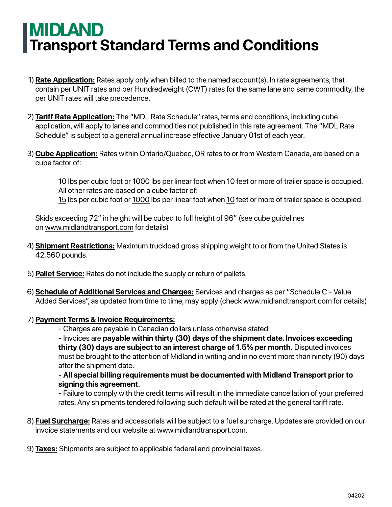## **MIDLAND Transport Standard Terms and Conditions**

- **Rate Application:** Rates apply only when billed to the named account(s). In rate agreements, that 1) contain per UNIT rates and per Hundredweight (CWT) rates for the same lane and same commodity, the per UNIT rates will take precedence.
- **Tariff Rate Application:** The "MDL Rate Schedule" rates, terms and conditions, including cube 2) application, will apply to lanes and commodities not published in this rate agreement. The "MDL Rate Schedule" is subject to a general annual increase effective January 01st of each year.
- **Cube Application:** Rates within Ontario/Quebec, OR rates to or from Western Canada, are based on a 3) cube factor of:

10 lbs per cubic foot or 1000 lbs per linear foot when 10 feet or more of trailer space is occupied. All other rates are based on a cube factor of:

15 lbs per cubic foot or 1000 lbs per linear foot when 10 feet or more of trailer space is occupied.

Skids exceeding 72" in height will be cubed to full height of 96" (see cube guidelines on www.midlandtransport.com for details)

- **Shipment Restrictions:** Maximum truckload gross shipping weight to or from the United States is 4) 42,560 pounds.
- **Pallet Service:** Rates do not include the supply or return of pallets. 5)
- **Schedule of Additional Services and Charges:** Services and charges as per "Schedule C Value 6) Added Services", as updated from time to time, may apply (check www.midlandtransport.com for details).

## **Payment Terms & Invoice Requirements:** 7)

- Charges are payable in Canadian dollars unless otherwise stated.

- Invoices are **payable within thirty (30) days of the shipment date. Invoices exceeding thirty (30) days are subject to an interest charge of 1.5% per month.** Disputed invoices must be brought to the attention of Midland in writing and in no event more than ninety (90) days after the shipment date.

- **All special billing requirements must be documented with Midland Transport prior to signing this agreement.**

- Failure to comply with the credit terms will result in the immediate cancellation of your preferred rates. Any shipments tendered following such default will be rated at the general tariff rate.

**Fuel Surcharge:** Rates and accessorials will be subject to a fuel surcharge. Updates are provided on our 8) invoice statements and our website at www.midlandtransport.com.

**Taxes:** Shipments are subject to applicable federal and provincial taxes. 9)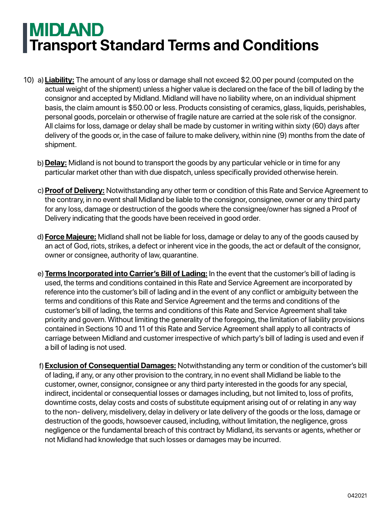## **MIDLAND Transport Standard Terms and Conditions**

- **Liability:** The amount of any loss or damage shall not exceed \$2.00 per pound (computed on the 10) a) actual weight of the shipment) unless a higher value is declared on the face of the bill of lading by the consignor and accepted by Midland. Midland will have no liability where, on an individual shipment basis, the claim amount is \$50.00 or less. Products consisting of ceramics, glass, liquids, perishables, personal goods, porcelain or otherwise of fragile nature are carried at the sole risk of the consignor. All claims for loss, damage or delay shall be made by customer in writing within sixty (60) days after delivery of the goods or, in the case of failure to make delivery, within nine (9) months from the date of shipment.
	- **Delay:** Midland is not bound to transport the goods by any particular vehicle or in time for any b) particular market other than with due dispatch, unless specifically provided otherwise herein.
	- c) <mark>Proof of Delivery:</mark> Notwithstanding any other term or condition of this Rate and Service Agreement to the contrary, in no event shall Midland be liable to the consignor, consignee, owner or any third party for any loss, damage or destruction of the goods where the consignee/owner has signed a Proof of Delivery indicating that the goods have been received in good order.
	- **Force Majeure:** Midland shall not be liable for loss, damage or delay to any of the goods caused by d) an act of God, riots, strikes, a defect or inherent vice in the goods, the act or default of the consignor, owner or consignee, authority of law, quarantine.
	- **Terms Incorporated into Carrier's Bill of Lading:** In the event that the customer's bill of lading is e) used, the terms and conditions contained in this Rate and Service Agreement are incorporated by reference into the customer's bill of lading and in the event of any conflict or ambiguity between the terms and conditions of this Rate and Service Agreement and the terms and conditions of the customer's bill of lading, the terms and conditions of this Rate and Service Agreement shall take priority and govern. Without limiting the generality of the foregoing, the limitation of liability provisions contained in Sections 10 and 11 of this Rate and Service Agreement shall apply to all contracts of carriage between Midland and customer irrespective of which party's bill of lading is used and even if a bill of lading is not used.
	- **Exclusion of Consequential Damages:** Notwithstanding any term or condition of the customer's bill f) of lading, if any, or any other provision to the contrary, in no event shall Midland be liable to the customer, owner, consignor, consignee or any third party interested in the goods for any special, indirect, incidental or consequential losses or damages including, but not limited to, loss of profits, downtime costs, delay costs and costs of substitute equipment arising out of or relating in any way to the non- delivery, misdelivery, delay in delivery or late delivery of the goods or the loss, damage or destruction of the goods, howsoever caused, including, without limitation, the negligence, gross negligence or the fundamental breach of this contract by Midland, its servants or agents, whether or not Midland had knowledge that such losses or damages may be incurred.